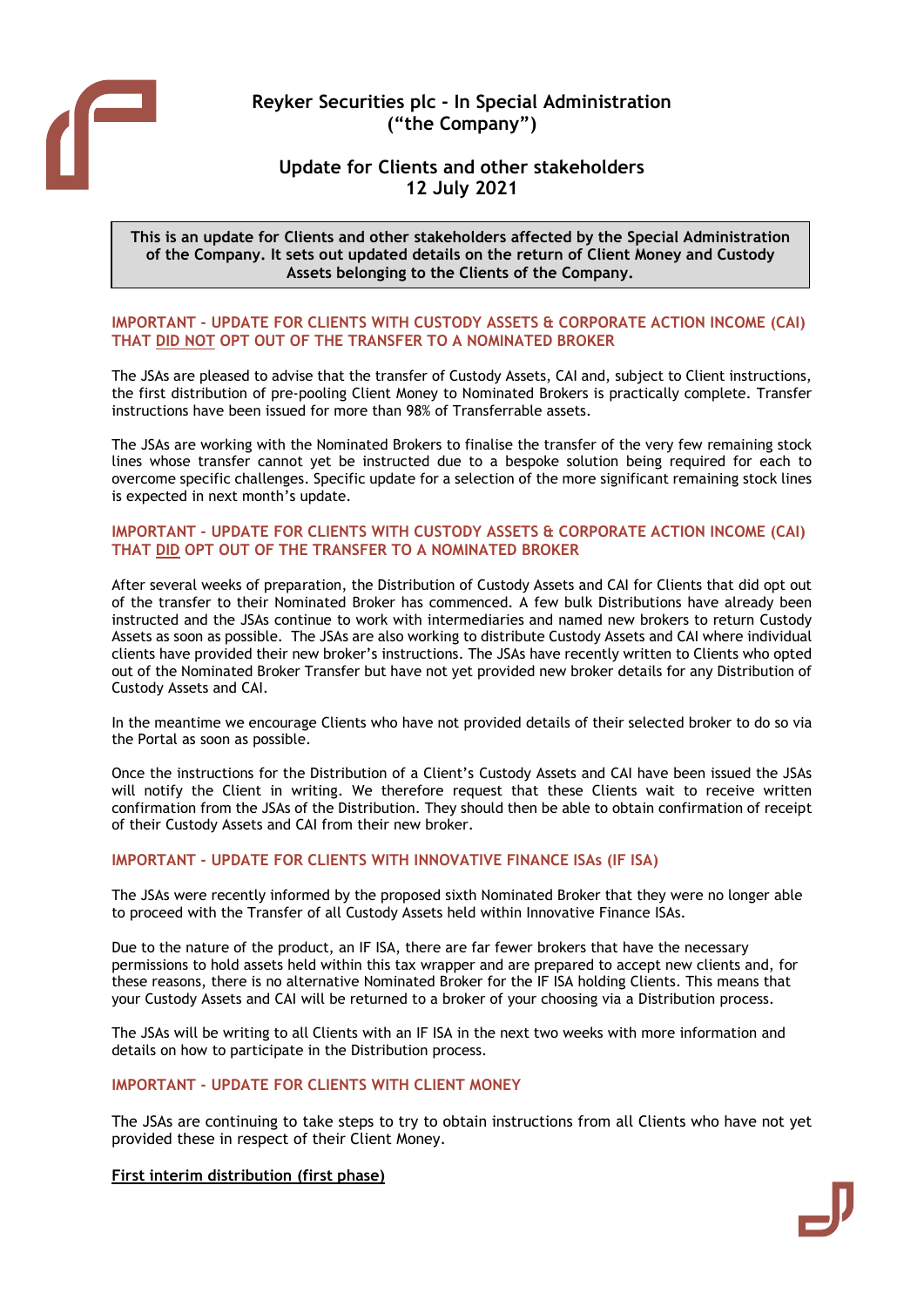

# Reyker Securities plc - In Special Administration ("the Company")

## Update for Clients and other stakeholders 12 July 2021

This is an update for Clients and other stakeholders affected by the Special Administration of the Company. It sets out updated details on the return of Client Money and Custody Assets belonging to the Clients of the Company.

#### IMPORTANT - UPDATE FOR CLIENTS WITH CUSTODY ASSETS & CORPORATE ACTION INCOME (CAI) THAT DID NOT OPT OUT OF THE TRANSFER TO A NOMINATED BROKER

The JSAs are pleased to advise that the transfer of Custody Assets, CAI and, subject to Client instructions, the first distribution of pre-pooling Client Money to Nominated Brokers is practically complete. Transfer instructions have been issued for more than 98% of Transferrable assets.

The JSAs are working with the Nominated Brokers to finalise the transfer of the very few remaining stock lines whose transfer cannot yet be instructed due to a bespoke solution being required for each to overcome specific challenges. Specific update for a selection of the more significant remaining stock lines is expected in next month's update.

#### IMPORTANT - UPDATE FOR CLIENTS WITH CUSTODY ASSETS & CORPORATE ACTION INCOME (CAI) THAT DID OPT OUT OF THE TRANSFER TO A NOMINATED BROKER

After several weeks of preparation, the Distribution of Custody Assets and CAI for Clients that did opt out of the transfer to their Nominated Broker has commenced. A few bulk Distributions have already been instructed and the JSAs continue to work with intermediaries and named new brokers to return Custody Assets as soon as possible. The JSAs are also working to distribute Custody Assets and CAI where individual clients have provided their new broker's instructions. The JSAs have recently written to Clients who opted out of the Nominated Broker Transfer but have not yet provided new broker details for any Distribution of Custody Assets and CAI.

In the meantime we encourage Clients who have not provided details of their selected broker to do so via the Portal as soon as possible.

Once the instructions for the Distribution of a Client's Custody Assets and CAI have been issued the JSAs will notify the Client in writing. We therefore request that these Clients wait to receive written confirmation from the JSAs of the Distribution. They should then be able to obtain confirmation of receipt of their Custody Assets and CAI from their new broker.

## IMPORTANT - UPDATE FOR CLIENTS WITH INNOVATIVE FINANCE ISAs (IF ISA)

The JSAs were recently informed by the proposed sixth Nominated Broker that they were no longer able to proceed with the Transfer of all Custody Assets held within Innovative Finance ISAs.

Due to the nature of the product, an IF ISA, there are far fewer brokers that have the necessary permissions to hold assets held within this tax wrapper and are prepared to accept new clients and, for these reasons, there is no alternative Nominated Broker for the IF ISA holding Clients. This means that your Custody Assets and CAI will be returned to a broker of your choosing via a Distribution process.

The JSAs will be writing to all Clients with an IF ISA in the next two weeks with more information and details on how to participate in the Distribution process.

#### IMPORTANT - UPDATE FOR CLIENTS WITH CLIENT MONEY

The JSAs are continuing to take steps to try to obtain instructions from all Clients who have not yet provided these in respect of their Client Money.

#### First interim distribution (first phase)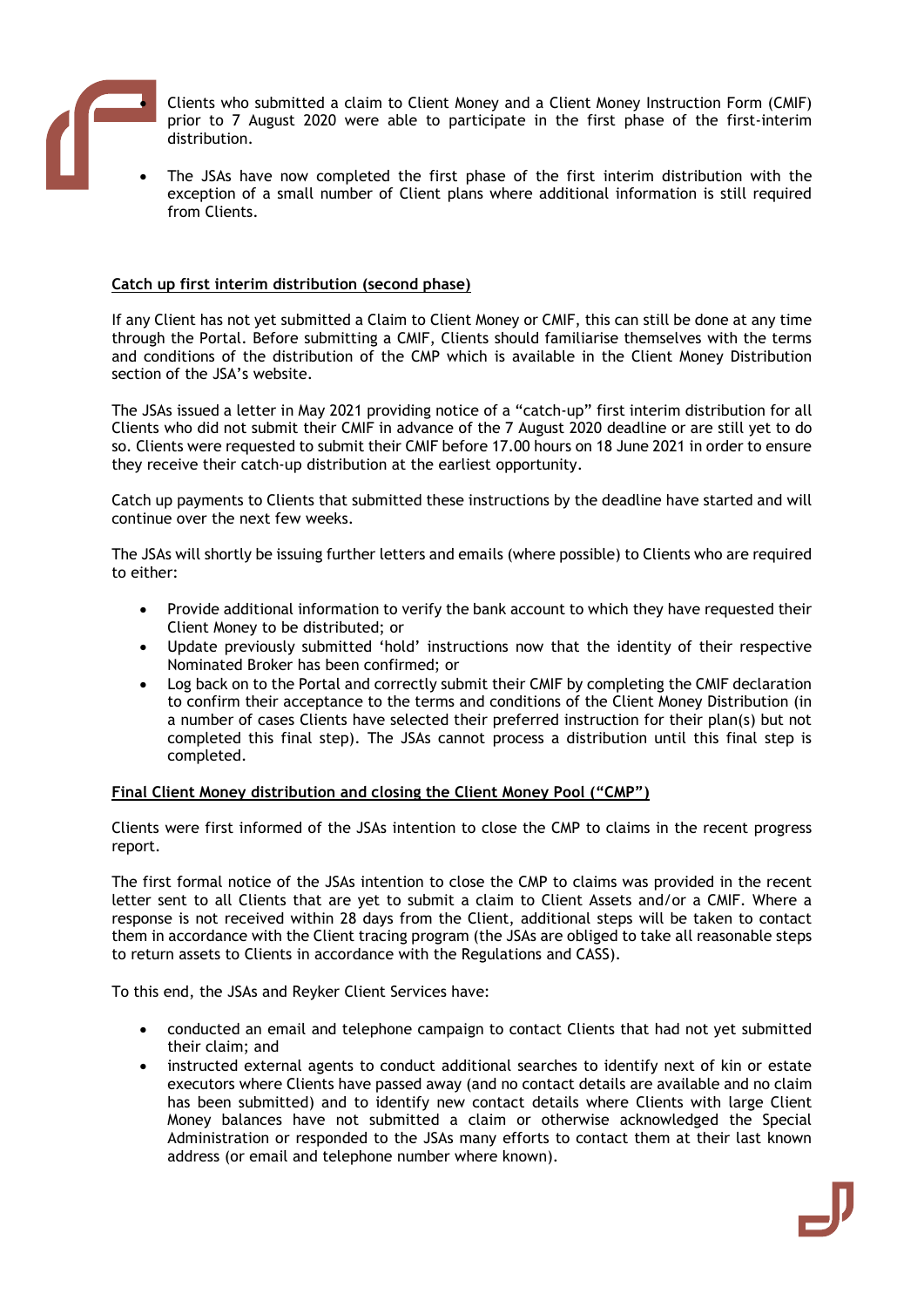

 Clients who submitted a claim to Client Money and a Client Money Instruction Form (CMIF) prior to 7 August 2020 were able to participate in the first phase of the first-interim distribution.

 The JSAs have now completed the first phase of the first interim distribution with the exception of a small number of Client plans where additional information is still required from Clients.

## Catch up first interim distribution (second phase)

If any Client has not yet submitted a Claim to Client Money or CMIF, this can still be done at any time through the Portal. Before submitting a CMIF, Clients should familiarise themselves with the terms and conditions of the distribution of the CMP which is available in the Client Money Distribution section of the JSA's website.

The JSAs issued a letter in May 2021 providing notice of a "catch-up" first interim distribution for all Clients who did not submit their CMIF in advance of the 7 August 2020 deadline or are still yet to do so. Clients were requested to submit their CMIF before 17.00 hours on 18 June 2021 in order to ensure they receive their catch-up distribution at the earliest opportunity.

Catch up payments to Clients that submitted these instructions by the deadline have started and will continue over the next few weeks.

The JSAs will shortly be issuing further letters and emails (where possible) to Clients who are required to either:

- Provide additional information to verify the bank account to which they have requested their Client Money to be distributed; or
- Update previously submitted 'hold' instructions now that the identity of their respective Nominated Broker has been confirmed; or
- Log back on to the Portal and correctly submit their CMIF by completing the CMIF declaration to confirm their acceptance to the terms and conditions of the Client Money Distribution (in a number of cases Clients have selected their preferred instruction for their plan(s) but not completed this final step). The JSAs cannot process a distribution until this final step is completed.

#### Final Client Money distribution and closing the Client Money Pool ("CMP")

Clients were first informed of the JSAs intention to close the CMP to claims in the recent progress report.

The first formal notice of the JSAs intention to close the CMP to claims was provided in the recent letter sent to all Clients that are yet to submit a claim to Client Assets and/or a CMIF. Where a response is not received within 28 days from the Client, additional steps will be taken to contact them in accordance with the Client tracing program (the JSAs are obliged to take all reasonable steps to return assets to Clients in accordance with the Regulations and CASS).

To this end, the JSAs and Reyker Client Services have:

- conducted an email and telephone campaign to contact Clients that had not yet submitted their claim; and
- instructed external agents to conduct additional searches to identify next of kin or estate executors where Clients have passed away (and no contact details are available and no claim has been submitted) and to identify new contact details where Clients with large Client Money balances have not submitted a claim or otherwise acknowledged the Special Administration or responded to the JSAs many efforts to contact them at their last known address (or email and telephone number where known).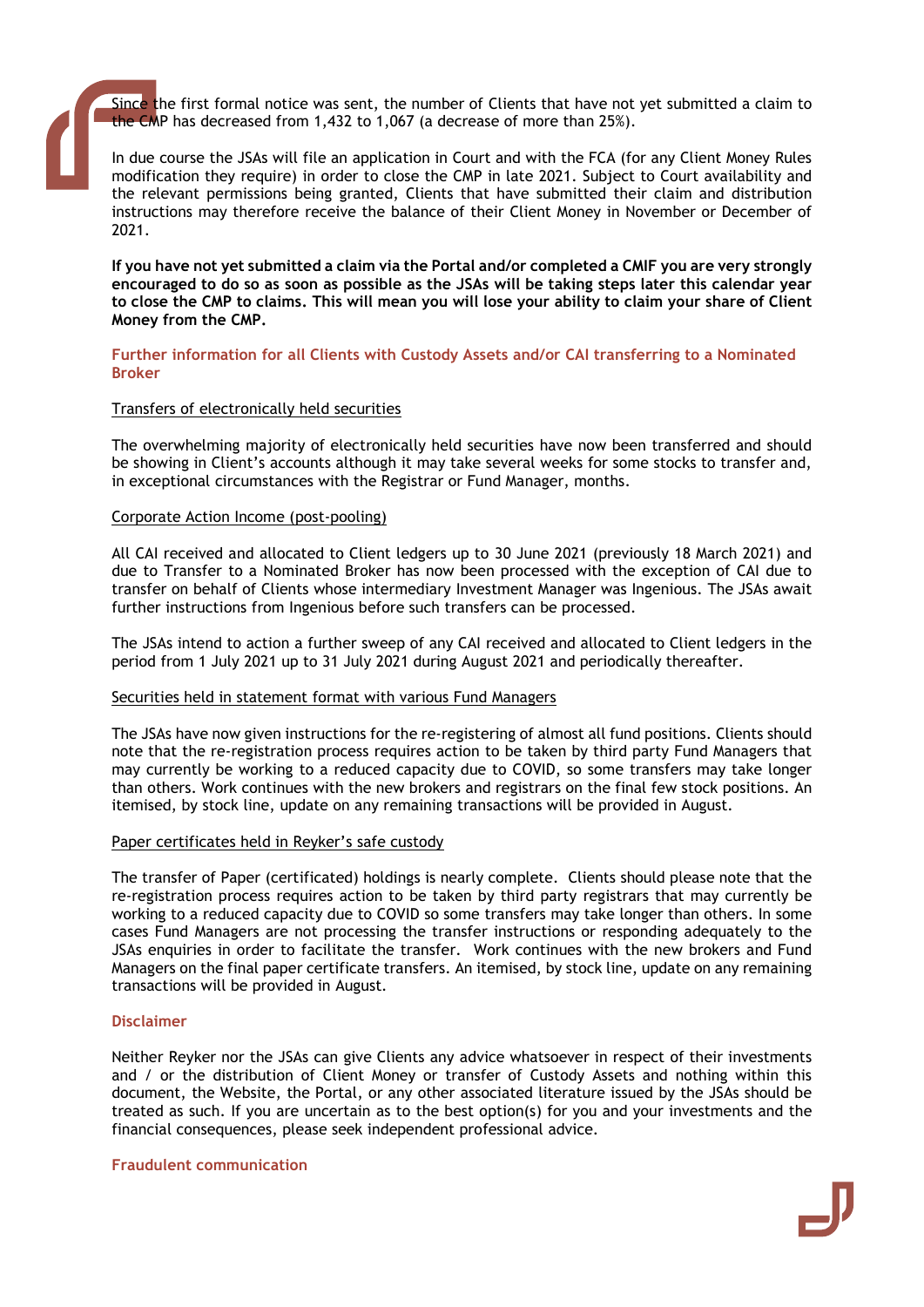Since the first formal notice was sent, the number of Clients that have not yet submitted a claim to the CMP has decreased from 1,432 to 1,067 (a decrease of more than 25%).

In due course the JSAs will file an application in Court and with the FCA (for any Client Money Rules modification they require) in order to close the CMP in late 2021. Subject to Court availability and the relevant permissions being granted, Clients that have submitted their claim and distribution instructions may therefore receive the balance of their Client Money in November or December of 2021.

If you have not yet submitted a claim via the Portal and/or completed a CMIF you are very strongly encouraged to do so as soon as possible as the JSAs will be taking steps later this calendar year to close the CMP to claims. This will mean you will lose your ability to claim your share of Client Money from the CMP.

#### Further information for all Clients with Custody Assets and/or CAI transferring to a Nominated Broker

#### Transfers of electronically held securities

The overwhelming majority of electronically held securities have now been transferred and should be showing in Client's accounts although it may take several weeks for some stocks to transfer and, in exceptional circumstances with the Registrar or Fund Manager, months.

#### Corporate Action Income (post-pooling)

All CAI received and allocated to Client ledgers up to 30 June 2021 (previously 18 March 2021) and due to Transfer to a Nominated Broker has now been processed with the exception of CAI due to transfer on behalf of Clients whose intermediary Investment Manager was Ingenious. The JSAs await further instructions from Ingenious before such transfers can be processed.

The JSAs intend to action a further sweep of any CAI received and allocated to Client ledgers in the period from 1 July 2021 up to 31 July 2021 during August 2021 and periodically thereafter.

#### Securities held in statement format with various Fund Managers

The JSAs have now given instructions for the re-registering of almost all fund positions. Clients should note that the re-registration process requires action to be taken by third party Fund Managers that may currently be working to a reduced capacity due to COVID, so some transfers may take longer than others. Work continues with the new brokers and registrars on the final few stock positions. An itemised, by stock line, update on any remaining transactions will be provided in August.

#### Paper certificates held in Reyker's safe custody

The transfer of Paper (certificated) holdings is nearly complete. Clients should please note that the re-registration process requires action to be taken by third party registrars that may currently be working to a reduced capacity due to COVID so some transfers may take longer than others. In some cases Fund Managers are not processing the transfer instructions or responding adequately to the JSAs enquiries in order to facilitate the transfer. Work continues with the new brokers and Fund Managers on the final paper certificate transfers. An itemised, by stock line, update on any remaining transactions will be provided in August.

#### Disclaimer

Neither Reyker nor the JSAs can give Clients any advice whatsoever in respect of their investments and / or the distribution of Client Money or transfer of Custody Assets and nothing within this document, the Website, the Portal, or any other associated literature issued by the JSAs should be treated as such. If you are uncertain as to the best option(s) for you and your investments and the financial consequences, please seek independent professional advice.

Fraudulent communication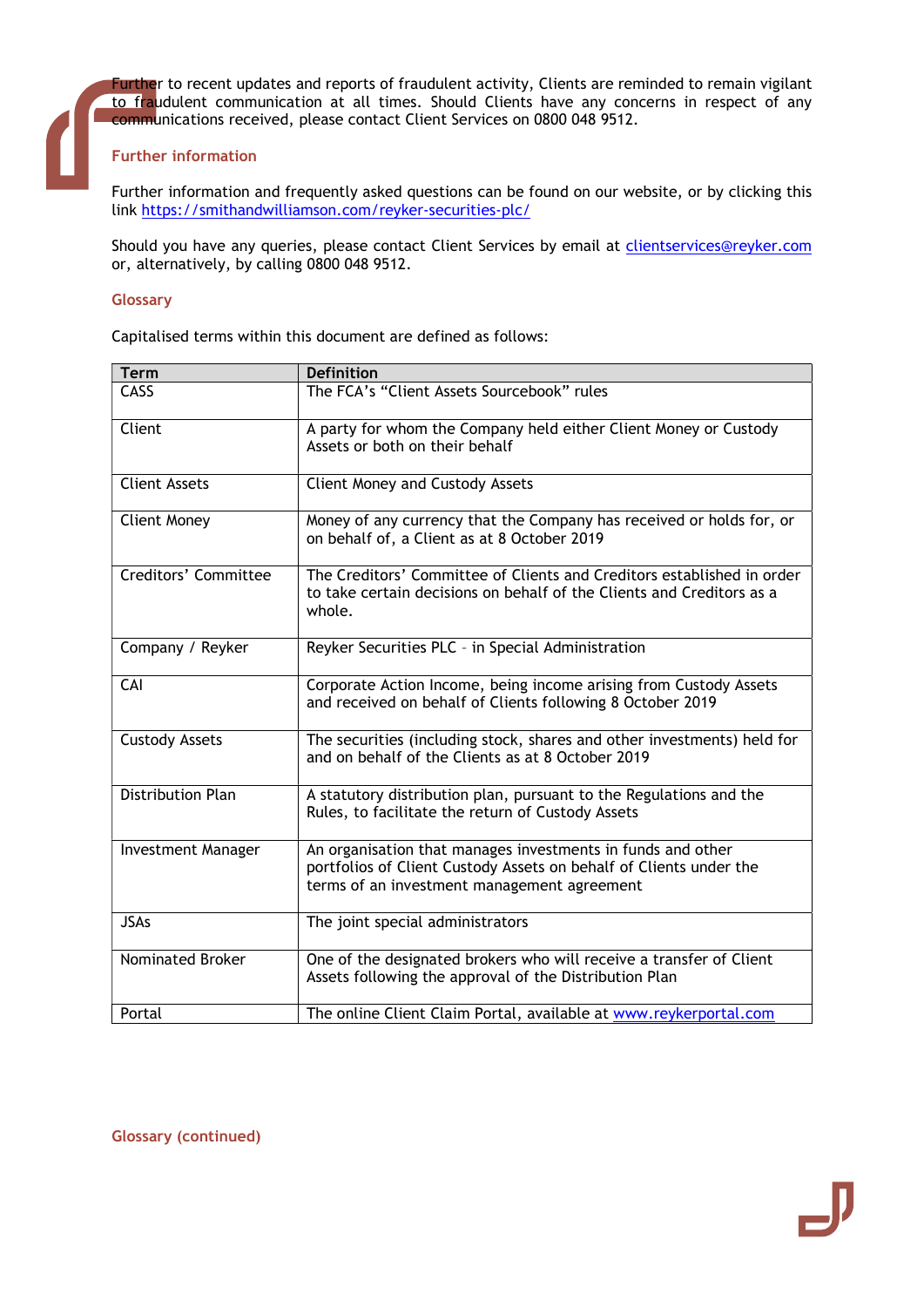Further to recent updates and reports of fraudulent activity, Clients are reminded to remain vigilant to fraudulent communication at all times. Should Clients have any concerns in respect of any communications received, please contact Client Services on 0800 048 9512.

## Further information

Further information and frequently asked questions can be found on our website, or by clicking this link https://smithandwilliamson.com/reyker-securities-plc/

Should you have any queries, please contact Client Services by email at clientservices@reyker.com or, alternatively, by calling 0800 048 9512.

#### **Glossary**

Capitalised terms within this document are defined as follows:

| <b>Term</b>               | <b>Definition</b>                                                                                                                                                                |
|---------------------------|----------------------------------------------------------------------------------------------------------------------------------------------------------------------------------|
| CASS                      | The FCA's "Client Assets Sourcebook" rules                                                                                                                                       |
| Client                    | A party for whom the Company held either Client Money or Custody<br>Assets or both on their behalf                                                                               |
| <b>Client Assets</b>      | <b>Client Money and Custody Assets</b>                                                                                                                                           |
| <b>Client Money</b>       | Money of any currency that the Company has received or holds for, or<br>on behalf of, a Client as at 8 October 2019                                                              |
| Creditors' Committee      | The Creditors' Committee of Clients and Creditors established in order<br>to take certain decisions on behalf of the Clients and Creditors as a<br>whole.                        |
| Company / Reyker          | Reyker Securities PLC - in Special Administration                                                                                                                                |
| CAI                       | Corporate Action Income, being income arising from Custody Assets<br>and received on behalf of Clients following 8 October 2019                                                  |
| <b>Custody Assets</b>     | The securities (including stock, shares and other investments) held for<br>and on behalf of the Clients as at 8 October 2019                                                     |
| <b>Distribution Plan</b>  | A statutory distribution plan, pursuant to the Regulations and the<br>Rules, to facilitate the return of Custody Assets                                                          |
| <b>Investment Manager</b> | An organisation that manages investments in funds and other<br>portfolios of Client Custody Assets on behalf of Clients under the<br>terms of an investment management agreement |
| <b>JSAs</b>               | The joint special administrators                                                                                                                                                 |
| Nominated Broker          | One of the designated brokers who will receive a transfer of Client<br>Assets following the approval of the Distribution Plan                                                    |
| Portal                    | The online Client Claim Portal, available at www.reykerportal.com                                                                                                                |

Glossary (continued)